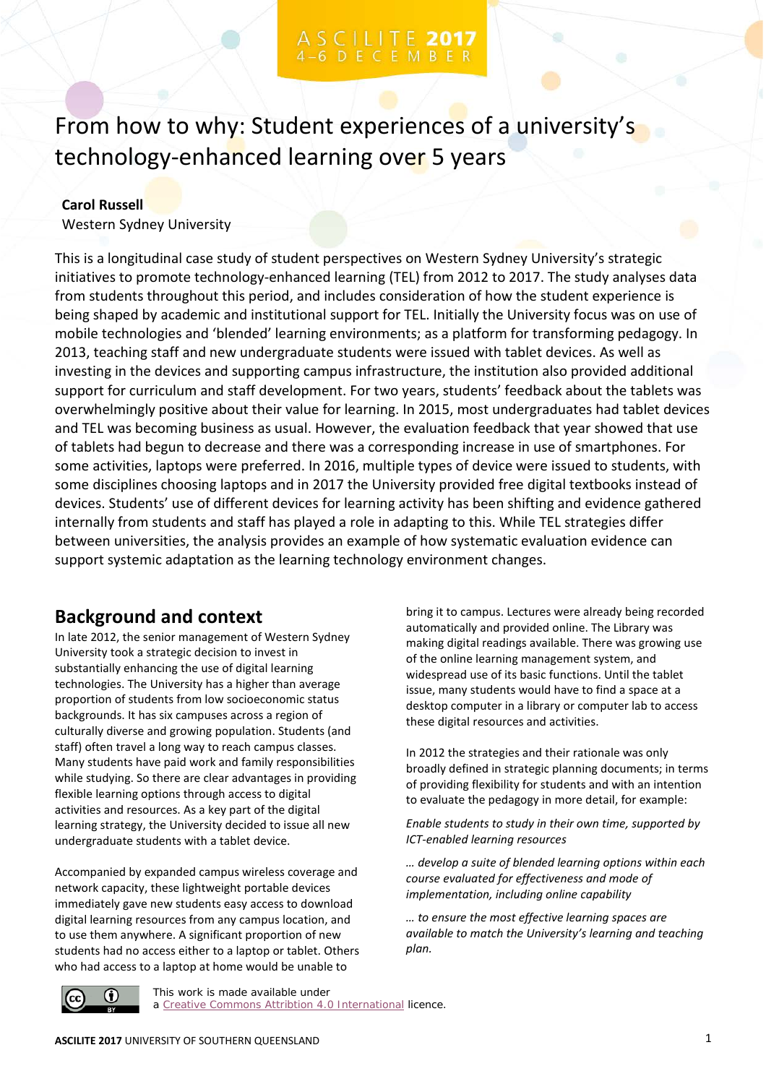# CILITE 2017

From how to why: Student experiences of a university's technology-enhanced learning over 5 years

### **Carol Russell**

Western Sydney University

This is a longitudinal case study of student perspectives on Western Sydney University's strategic initiatives to promote technology-enhanced learning (TEL) from 2012 to 2017. The study analyses data from students throughout this period, and includes consideration of how the student experience is being shaped by academic and institutional support for TEL. Initially the University focus was on use of mobile technologies and 'blended' learning environments; as a platform for transforming pedagogy. In 2013, teaching staff and new undergraduate students were issued with tablet devices. As well as investing in the devices and supporting campus infrastructure, the institution also provided additional support for curriculum and staff development. For two years, students' feedback about the tablets was overwhelmingly positive about their value for learning. In 2015, most undergraduates had tablet devices and TEL was becoming business as usual. However, the evaluation feedback that year showed that use of tablets had begun to decrease and there was a corresponding increase in use of smartphones. For some activities, laptops were preferred. In 2016, multiple types of device were issued to students, with some disciplines choosing laptops and in 2017 the University provided free digital textbooks instead of devices. Students' use of different devices for learning activity has been shifting and evidence gathered internally from students and staff has played a role in adapting to this. While TEL strategies differ between universities, the analysis provides an example of how systematic evaluation evidence can support systemic adaptation as the learning technology environment changes.

# **Background and context**

In late 2012, the senior management of Western Sydney University took a strategic decision to invest in substantially enhancing the use of digital learning technologies. The University has a higher than average proportion of students from low socioeconomic status backgrounds. It has six campuses across a region of culturally diverse and growing population. Students (and staff) often travel a long way to reach campus classes. Many students have paid work and family responsibilities while studying. So there are clear advantages in providing flexible learning options through access to digital activities and resources. As a key part of the digital learning strategy, the University decided to issue all new undergraduate students with a tablet device.

Accompanied by expanded campus wireless coverage and network capacity, these lightweight portable devices immediately gave new students easy access to download digital learning resources from any campus location, and to use them anywhere. A significant proportion of new students had no access either to a laptop or tablet. Others who had access to a laptop at home would be unable to

bring it to campus. Lectures were already being recorded automatically and provided online. The Library was making digital readings available. There was growing use of the online learning management system, and widespread use of its basic functions. Until the tablet issue, many students would have to find a space at a desktop computer in a library or computer lab to access these digital resources and activities.

In 2012 the strategies and their rationale was only broadly defined in strategic planning documents; in terms of providing flexibility for students and with an intention to evaluate the pedagogy in more detail, for example:

*Enable students to study in their own time, supported by ICT-enabled learning resources*

*… develop a suite of blended learning options within each course evaluated for effectiveness and mode of implementation, including online capability*

*… to ensure the most effective learning spaces are available to match the University's learning and teaching plan.*



This work is made available under a [Creative Commons Attribtion 4.0 International](https://creativecommons.org/licenses/by/4.0/) licence.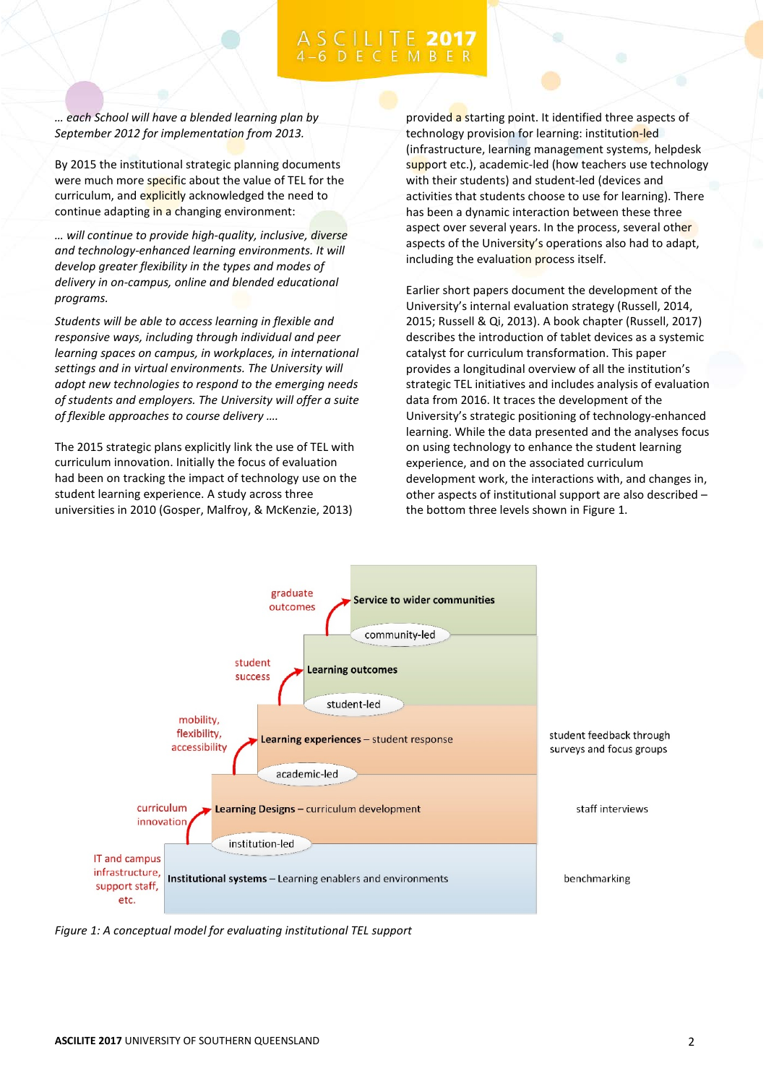*… each School will have a blended learning plan by September 2012 for implementation from 2013.* 

By 2015 the institutional strategic planning documents were much more specific about the value of TEL for the curriculum, and explicitly acknowledged the need to continue adapting in a changing environment:

*… will continue to provide high-quality, inclusive, diverse and technology-enhanced learning environments. It will develop greater flexibility in the types and modes of delivery in on-campus, online and blended educational programs.*

*Students will be able to access learning in flexible and responsive ways, including through individual and peer learning spaces on campus, in workplaces, in international settings and in virtual environments. The University will adopt new technologies to respond to the emerging needs of students and employers. The University will offer a suite of flexible approaches to course delivery ….*

The 2015 strategic plans explicitly link the use of TEL with curriculum innovation. Initially the focus of evaluation had been on tracking the impact of technology use on the student learning experience. A study across three universities in 2010 (Gosper, Malfroy, & McKenzie, 2013)

provided a starting point. It identified three aspects of technology provision for learning: institution-led (infrastructure, learning management systems, helpdesk support etc.), academic-led (how teachers use technology with their students) and student-led (devices and activities that students choose to use for learning). There has been a dynamic interaction between these three aspect over several years. In the process, several other aspects of the University's operations also had to adapt, including the evaluation process itself.

Earlier short papers document the development of the University's internal evaluation strategy (Russell, 2014, 2015; Russell & Qi, 2013). A book chapter (Russell, 2017) describes the introduction of tablet devices as a systemic catalyst for curriculum transformation. This paper provides a longitudinal overview of all the institution's strategic TEL initiatives and includes analysis of evaluation data from 2016. It traces the development of the University's strategic positioning of technology-enhanced learning. While the data presented and the analyses focus on using technology to enhance the student learning experience, and on the associated curriculum development work, the interactions with, and changes in, other aspects of institutional support are also described – the bottom three levels shown in Figure 1.



*Figure 1: A conceptual model for evaluating institutional TEL support*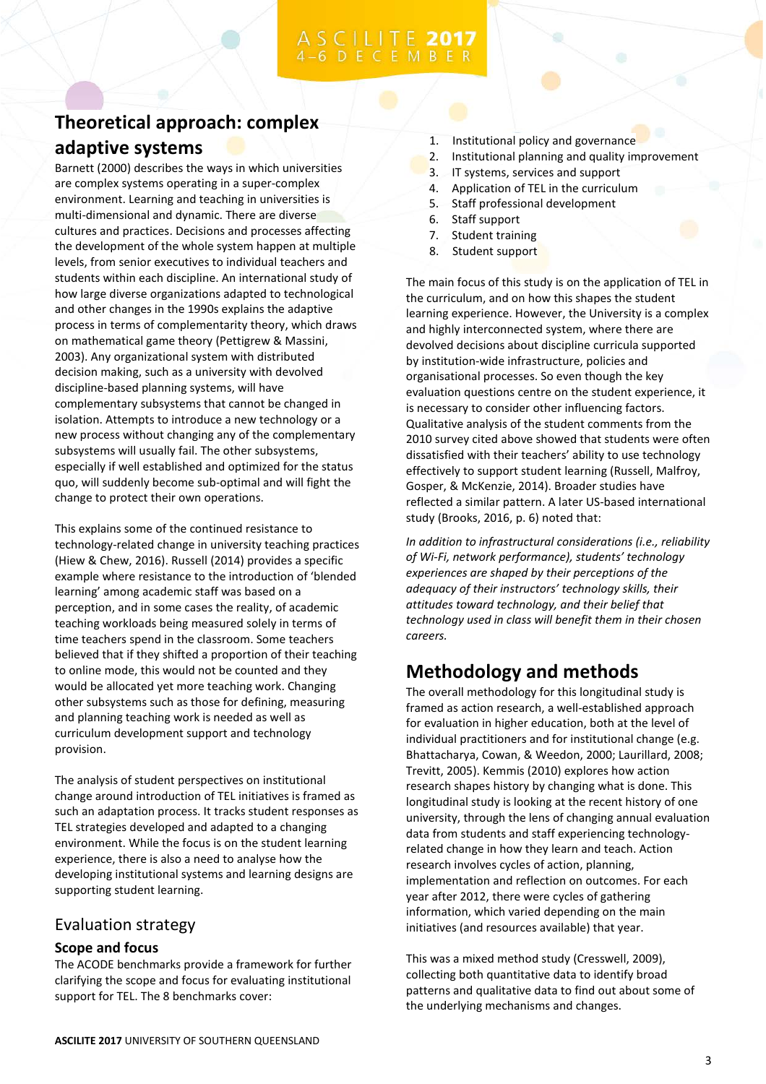# **Theoretical approach: complex adaptive systems**

Barnett (2000) describes the ways in which universities are complex systems operating in a super-complex environment. Learning and teaching in universities is multi-dimensional and dynamic. There are diverse cultures and practices. Decisions and processes affecting the development of the whole system happen at multiple levels, from senior executives to individual teachers and students within each discipline. An international study of how large diverse organizations adapted to technological and other changes in the 1990s explains the adaptive process in terms of complementarity theory, which draws on mathematical game theory (Pettigrew & Massini, 2003). Any organizational system with distributed decision making, such as a university with devolved discipline-based planning systems, will have complementary subsystems that cannot be changed in isolation. Attempts to introduce a new technology or a new process without changing any of the complementary subsystems will usually fail. The other subsystems, especially if well established and optimized for the status quo, will suddenly become sub-optimal and will fight the change to protect their own operations.

This explains some of the continued resistance to technology-related change in university teaching practices (Hiew & Chew, 2016). Russell (2014) provides a specific example where resistance to the introduction of 'blended learning' among academic staff was based on a perception, and in some cases the reality, of academic teaching workloads being measured solely in terms of time teachers spend in the classroom. Some teachers believed that if they shifted a proportion of their teaching to online mode, this would not be counted and they would be allocated yet more teaching work. Changing other subsystems such as those for defining, measuring and planning teaching work is needed as well as curriculum development support and technology provision.

The analysis of student perspectives on institutional change around introduction of TEL initiatives is framed as such an adaptation process. It tracks student responses as TEL strategies developed and adapted to a changing environment. While the focus is on the student learning experience, there is also a need to analyse how the developing institutional systems and learning designs are supporting student learning.

### Evaluation strategy

### **Scope and focus**

The ACODE benchmarks provide a framework for further clarifying the scope and focus for evaluating institutional support for TEL. The 8 benchmarks cover:

- 1. Institutional policy and governance
- 2. Institutional planning and quality improvement
- 3. IT systems, services and support
- 4. Application of TEL in the curriculum
- 5. Staff professional development
- 6. Staff support
- 7. Student training
- 8. Student support

The main focus of this study is on the application of TEL in the curriculum, and on how this shapes the student learning experience. However, the University is a complex and highly interconnected system, where there are devolved decisions about discipline curricula supported by institution-wide infrastructure, policies and organisational processes. So even though the key evaluation questions centre on the student experience, it is necessary to consider other influencing factors. Qualitative analysis of the student comments from the 2010 survey cited above showed that students were often dissatisfied with their teachers' ability to use technology effectively to support student learning (Russell, Malfroy, Gosper, & McKenzie, 2014). Broader studies have reflected a similar pattern. A later US-based international study (Brooks, 2016, p. 6) noted that:

*In addition to infrastructural considerations (i.e., reliability of Wi-Fi, network performance), students' technology experiences are shaped by their perceptions of the adequacy of their instructors' technology skills, their attitudes toward technology, and their belief that technology used in class will benefit them in their chosen careers.*

# **Methodology and methods**

The overall methodology for this longitudinal study is framed as action research, a well-established approach for evaluation in higher education, both at the level of individual practitioners and for institutional change (e.g. Bhattacharya, Cowan, & Weedon, 2000; Laurillard, 2008; Trevitt, 2005). Kemmis (2010) explores how action research shapes history by changing what is done. This longitudinal study is looking at the recent history of one university, through the lens of changing annual evaluation data from students and staff experiencing technologyrelated change in how they learn and teach. Action research involves cycles of action, planning, implementation and reflection on outcomes. For each year after 2012, there were cycles of gathering information, which varied depending on the main initiatives (and resources available) that year.

This was a mixed method study (Cresswell, 2009), collecting both quantitative data to identify broad patterns and qualitative data to find out about some of the underlying mechanisms and changes.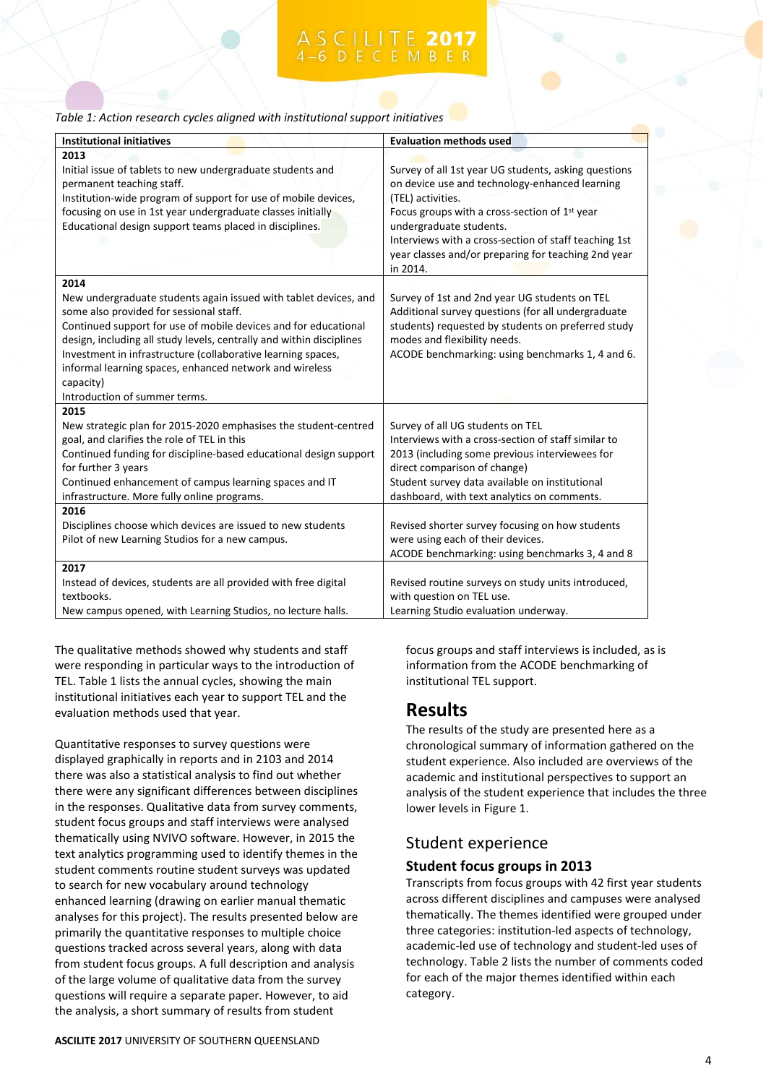| Table 1: Action research cycles aligned with institutional support initiatives |  |
|--------------------------------------------------------------------------------|--|
|--------------------------------------------------------------------------------|--|

| <b>Institutional initiatives</b>                                                                                                                                                                                                                                                                                                                                                                                                        | <b>Evaluation methods used</b>                                                                                                                                                                                                                                                                                                                  |
|-----------------------------------------------------------------------------------------------------------------------------------------------------------------------------------------------------------------------------------------------------------------------------------------------------------------------------------------------------------------------------------------------------------------------------------------|-------------------------------------------------------------------------------------------------------------------------------------------------------------------------------------------------------------------------------------------------------------------------------------------------------------------------------------------------|
| 2013<br>Initial issue of tablets to new undergraduate students and<br>permanent teaching staff.<br>Institution-wide program of support for use of mobile devices,<br>focusing on use in 1st year undergraduate classes initially<br>Educational design support teams placed in disciplines.                                                                                                                                             | Survey of all 1st year UG students, asking questions<br>on device use and technology-enhanced learning<br>(TEL) activities.<br>Focus groups with a cross-section of 1 <sup>st</sup> year<br>undergraduate students.<br>Interviews with a cross-section of staff teaching 1st<br>year classes and/or preparing for teaching 2nd year<br>in 2014. |
| 2014<br>New undergraduate students again issued with tablet devices, and<br>some also provided for sessional staff.<br>Continued support for use of mobile devices and for educational<br>design, including all study levels, centrally and within disciplines<br>Investment in infrastructure (collaborative learning spaces,<br>informal learning spaces, enhanced network and wireless<br>capacity)<br>Introduction of summer terms. | Survey of 1st and 2nd year UG students on TEL<br>Additional survey questions (for all undergraduate<br>students) requested by students on preferred study<br>modes and flexibility needs.<br>ACODE benchmarking: using benchmarks 1, 4 and 6.                                                                                                   |
| 2015<br>New strategic plan for 2015-2020 emphasises the student-centred<br>goal, and clarifies the role of TEL in this<br>Continued funding for discipline-based educational design support<br>for further 3 years<br>Continued enhancement of campus learning spaces and IT<br>infrastructure. More fully online programs.                                                                                                             | Survey of all UG students on TEL<br>Interviews with a cross-section of staff similar to<br>2013 (including some previous interviewees for<br>direct comparison of change)<br>Student survey data available on institutional<br>dashboard, with text analytics on comments.                                                                      |
| 2016<br>Disciplines choose which devices are issued to new students<br>Pilot of new Learning Studios for a new campus.                                                                                                                                                                                                                                                                                                                  | Revised shorter survey focusing on how students<br>were using each of their devices.<br>ACODE benchmarking: using benchmarks 3, 4 and 8                                                                                                                                                                                                         |
| 2017<br>Instead of devices, students are all provided with free digital<br>textbooks.<br>New campus opened, with Learning Studios, no lecture halls.                                                                                                                                                                                                                                                                                    | Revised routine surveys on study units introduced,<br>with question on TEL use.<br>Learning Studio evaluation underway.                                                                                                                                                                                                                         |

The qualitative methods showed why students and staff were responding in particular ways to the introduction of TEL. Table 1 lists the annual cycles, showing the main institutional initiatives each year to support TEL and the evaluation methods used that year.

Quantitative responses to survey questions were displayed graphically in reports and in 2103 and 2014 there was also a statistical analysis to find out whether there were any significant differences between disciplines in the responses. Qualitative data from survey comments, student focus groups and staff interviews were analysed thematically using NVIVO software. However, in 2015 the text analytics programming used to identify themes in the student comments routine student surveys was updated to search for new vocabulary around technology enhanced learning (drawing on earlier manual thematic analyses for this project). The results presented below are primarily the quantitative responses to multiple choice questions tracked across several years, along with data from student focus groups. A full description and analysis of the large volume of qualitative data from the survey questions will require a separate paper. However, to aid the analysis, a short summary of results from student

focus groups and staff interviews is included, as is information from the ACODE benchmarking of institutional TEL support.

# **Results**

The results of the study are presented here as a chronological summary of information gathered on the student experience. Also included are overviews of the academic and institutional perspectives to support an analysis of the student experience that includes the three lower levels in Figure 1.

## Student experience

### **Student focus groups in 2013**

Transcripts from focus groups with 42 first year students across different disciplines and campuses were analysed thematically. The themes identified were grouped under three categories: institution-led aspects of technology, academic-led use of technology and student-led uses of technology. Table 2 lists the number of comments coded for each of the major themes identified within each category.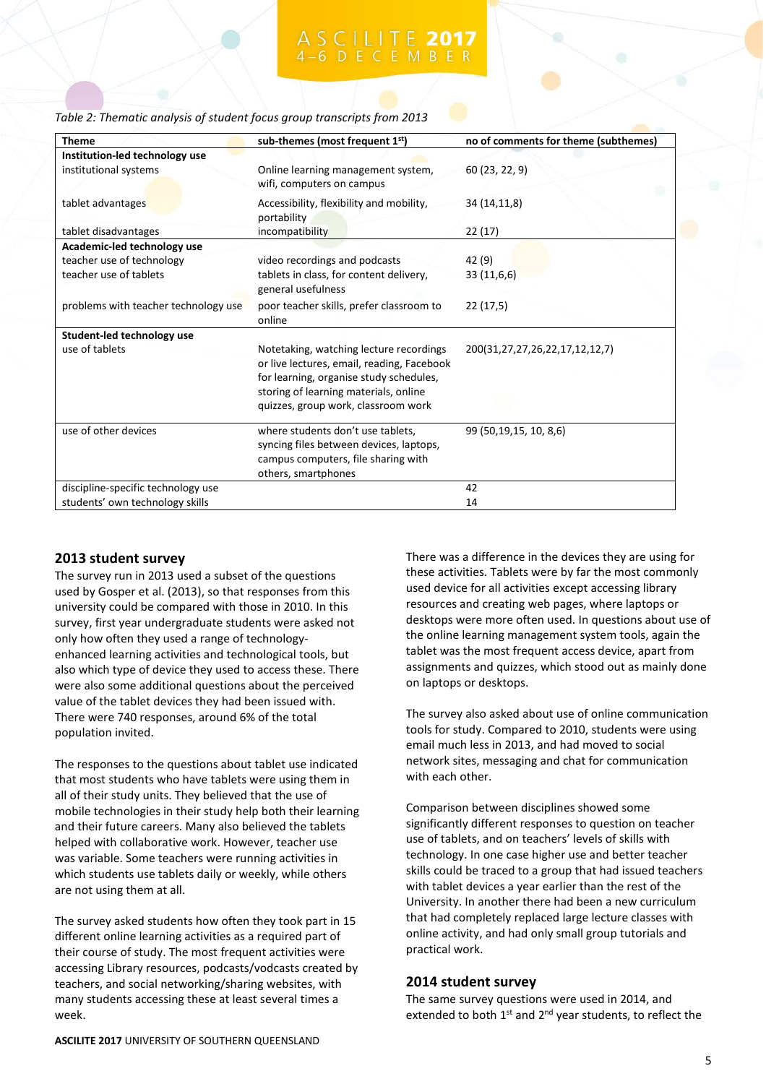| Table 2: Thematic analysis of student focus group transcripts from 2013 |  |  |  |  |
|-------------------------------------------------------------------------|--|--|--|--|
|-------------------------------------------------------------------------|--|--|--|--|

| <b>Theme</b>                         | sub-themes (most frequent 1st)                                                                                                                                            | no of comments for theme (subthemes) |
|--------------------------------------|---------------------------------------------------------------------------------------------------------------------------------------------------------------------------|--------------------------------------|
| Institution-led technology use       |                                                                                                                                                                           |                                      |
| institutional systems                | Online learning management system,<br>wifi, computers on campus                                                                                                           | 60 (23, 22, 9)                       |
| tablet advantages                    | Accessibility, flexibility and mobility,<br>portability                                                                                                                   | 34 (14,11,8)                         |
| tablet disadvantages                 | incompatibility                                                                                                                                                           | 22 (17)                              |
| Academic-led technology use          |                                                                                                                                                                           |                                      |
| teacher use of technology            | video recordings and podcasts                                                                                                                                             | 42 (9)                               |
| teacher use of tablets               | tablets in class, for content delivery,<br>general usefulness                                                                                                             | 33(11,6,6)                           |
| problems with teacher technology use | poor teacher skills, prefer classroom to<br>online                                                                                                                        | 22(17,5)                             |
| Student-led technology use           |                                                                                                                                                                           |                                      |
| use of tablets                       | Notetaking, watching lecture recordings<br>or live lectures, email, reading, Facebook<br>for learning, organise study schedules,<br>storing of learning materials, online | 200(31,27,27,26,22,17,12,12,7)       |
|                                      | quizzes, group work, classroom work                                                                                                                                       |                                      |
| use of other devices                 | where students don't use tablets,<br>syncing files between devices, laptops,<br>campus computers, file sharing with<br>others, smartphones                                | 99 (50,19,15, 10, 8,6)               |
| discipline-specific technology use   |                                                                                                                                                                           | 42                                   |
| students' own technology skills      |                                                                                                                                                                           | 14                                   |

### **2013 student survey**

The survey run in 2013 used a subset of the questions used by Gosper et al. (2013), so that responses from this university could be compared with those in 2010. In this survey, first year undergraduate students were asked not only how often they used a range of technologyenhanced learning activities and technological tools, but also which type of device they used to access these. There were also some additional questions about the perceived value of the tablet devices they had been issued with. There were 740 responses, around 6% of the total population invited.

The responses to the questions about tablet use indicated that most students who have tablets were using them in all of their study units. They believed that the use of mobile technologies in their study help both their learning and their future careers. Many also believed the tablets helped with collaborative work. However, teacher use was variable. Some teachers were running activities in which students use tablets daily or weekly, while others are not using them at all.

The survey asked students how often they took part in 15 different online learning activities as a required part of their course of study. The most frequent activities were accessing Library resources, podcasts/vodcasts created by teachers, and social networking/sharing websites, with many students accessing these at least several times a week.

There was a difference in the devices they are using for these activities. Tablets were by far the most commonly used device for all activities except accessing library resources and creating web pages, where laptops or desktops were more often used. In questions about use of the online learning management system tools, again the tablet was the most frequent access device, apart from assignments and quizzes, which stood out as mainly done on laptops or desktops.

The survey also asked about use of online communication tools for study. Compared to 2010, students were using email much less in 2013, and had moved to social network sites, messaging and chat for communication with each other.

Comparison between disciplines showed some significantly different responses to question on teacher use of tablets, and on teachers' levels of skills with technology. In one case higher use and better teacher skills could be traced to a group that had issued teachers with tablet devices a year earlier than the rest of the University. In another there had been a new curriculum that had completely replaced large lecture classes with online activity, and had only small group tutorials and practical work.

### **2014 student survey**

The same survey questions were used in 2014, and extended to both  $1<sup>st</sup>$  and  $2<sup>nd</sup>$  year students, to reflect the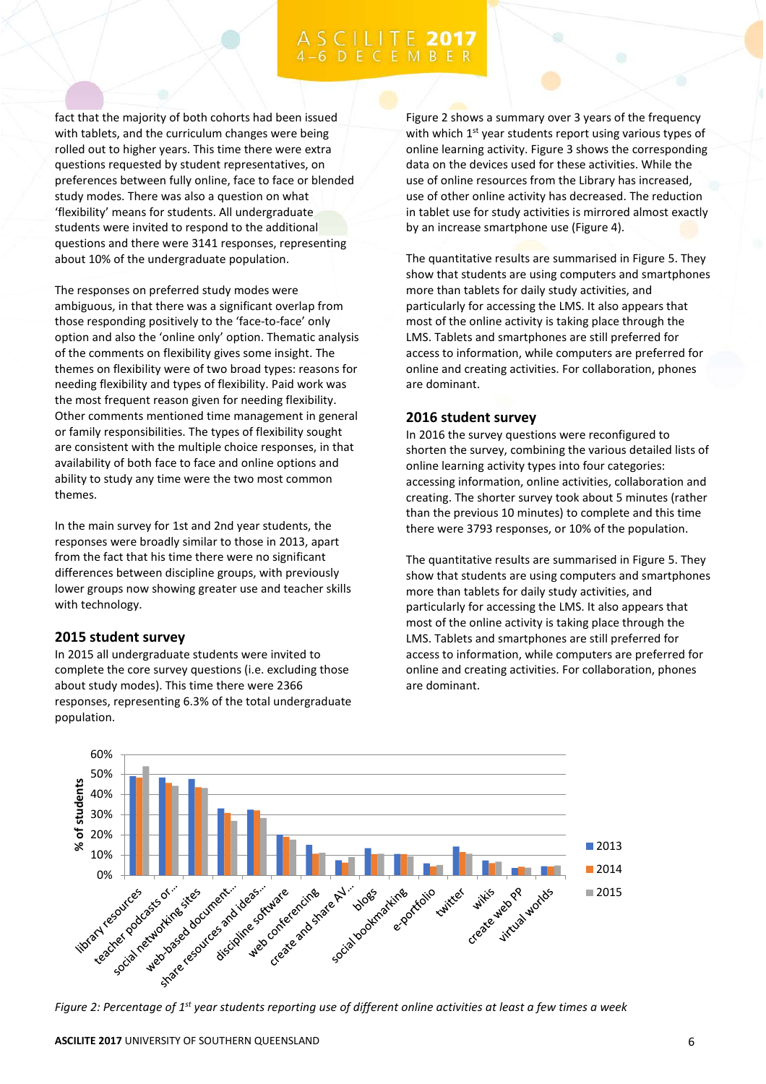fact that the majority of both cohorts had been issued with tablets, and the curriculum changes were being rolled out to higher years. This time there were extra questions requested by student representatives, on preferences between fully online, face to face or blended study modes. There was also a question on what 'flexibility' means for students. All undergraduate students were invited to respond to the additional questions and there were 3141 responses, representing about 10% of the undergraduate population.

The responses on preferred study modes were ambiguous, in that there was a significant overlap from those responding positively to the 'face-to-face' only option and also the 'online only' option. Thematic analysis of the comments on flexibility gives some insight. The themes on flexibility were of two broad types: reasons for needing flexibility and types of flexibility. Paid work was the most frequent reason given for needing flexibility. Other comments mentioned time management in general or family responsibilities. The types of flexibility sought are consistent with the multiple choice responses, in that availability of both face to face and online options and ability to study any time were the two most common themes.

In the main survey for 1st and 2nd year students, the responses were broadly similar to those in 2013, apart from the fact that his time there were no significant differences between discipline groups, with previously lower groups now showing greater use and teacher skills with technology.

### **2015 student survey**

In 2015 all undergraduate students were invited to complete the core survey questions (i.e. excluding those about study modes). This time there were 2366 responses, representing 6.3% of the total undergraduate population.

Figure 2 shows a summary over 3 years of the frequency with which 1<sup>st</sup> year students report using various types of online learning activity. Figure 3 shows the corresponding data on the devices used for these activities. While the use of online resources from the Library has increased, use of other online activity has decreased. The reduction in tablet use for study activities is mirrored almost exactly by an increase smartphone use (Figure 4).

The quantitative results are summarised in Figure 5. They show that students are using computers and smartphones more than tablets for daily study activities, and particularly for accessing the LMS. It also appears that most of the online activity is taking place through the LMS. Tablets and smartphones are still preferred for access to information, while computers are preferred for online and creating activities. For collaboration, phones are dominant.

### **2016 student survey**

In 2016 the survey questions were reconfigured to shorten the survey, combining the various detailed lists of online learning activity types into four categories: accessing information, online activities, collaboration and creating. The shorter survey took about 5 minutes (rather than the previous 10 minutes) to complete and this time there were 3793 responses, or 10% of the population.

The quantitative results are summarised in Figure 5. They show that students are using computers and smartphones more than tablets for daily study activities, and particularly for accessing the LMS. It also appears that most of the online activity is taking place through the LMS. Tablets and smartphones are still preferred for access to information, while computers are preferred for online and creating activities. For collaboration, phones are dominant.

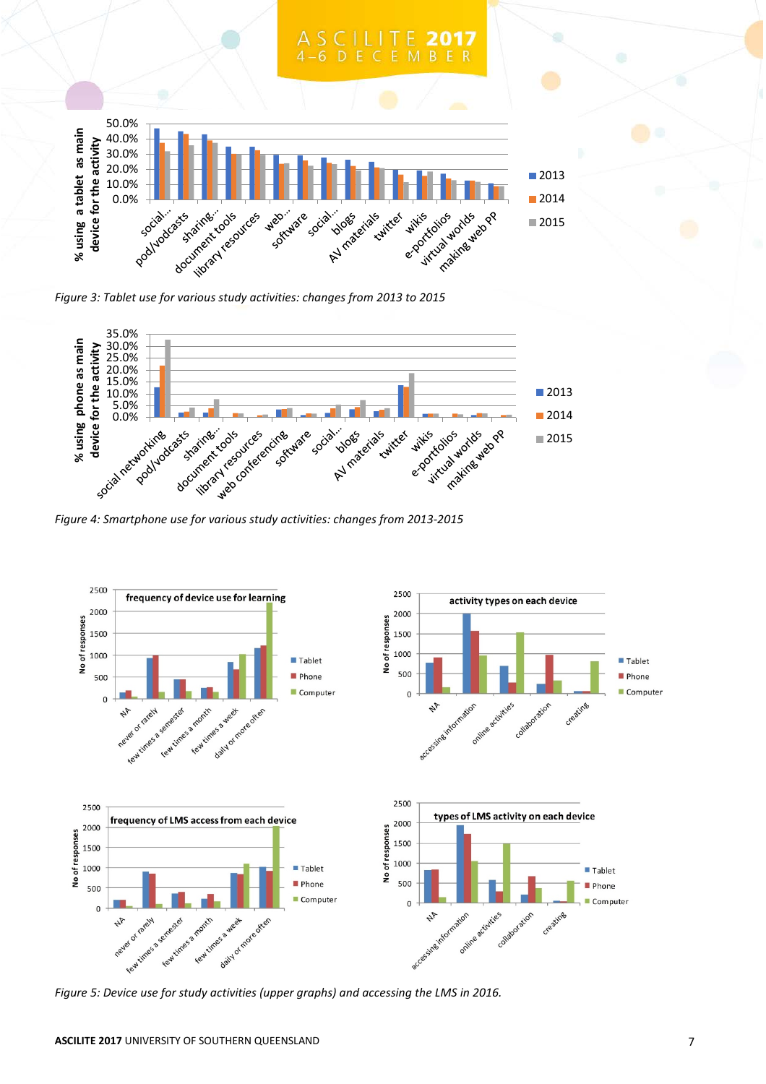

*Figure 3: Tablet use for various study activities: changes from 2013 to 2015*



*Figure 4: Smartphone use for various study activities: changes from 2013-2015*



*Figure 5: Device use for study activities (upper graphs) and accessing the LMS in 2016.*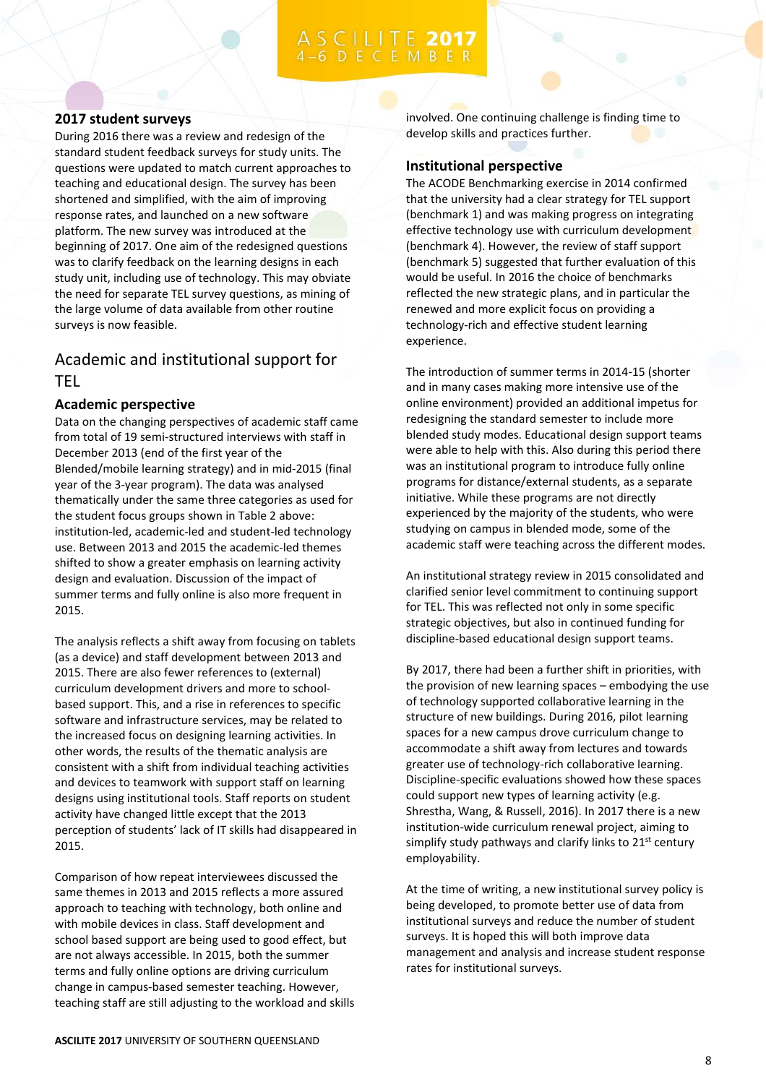# **ILITE 2017**

### **2017 student surveys**

During 2016 there was a review and redesign of the standard student feedback surveys for study units. The questions were updated to match current approaches to teaching and educational design. The survey has been shortened and simplified, with the aim of improving response rates, and launched on a new software platform. The new survey was introduced at the beginning of 2017. One aim of the redesigned questions was to clarify feedback on the learning designs in each study unit, including use of technology. This may obviate the need for separate TEL survey questions, as mining of the large volume of data available from other routine surveys is now feasible.

## Academic and institutional support for TEL

### **Academic perspective**

Data on the changing perspectives of academic staff came from total of 19 semi-structured interviews with staff in December 2013 (end of the first year of the Blended/mobile learning strategy) and in mid-2015 (final year of the 3-year program). The data was analysed thematically under the same three categories as used for the student focus groups shown in Table 2 above: institution-led, academic-led and student-led technology use. Between 2013 and 2015 the academic-led themes shifted to show a greater emphasis on learning activity design and evaluation. Discussion of the impact of summer terms and fully online is also more frequent in 2015.

The analysis reflects a shift away from focusing on tablets (as a device) and staff development between 2013 and 2015. There are also fewer references to (external) curriculum development drivers and more to schoolbased support. This, and a rise in references to specific software and infrastructure services, may be related to the increased focus on designing learning activities. In other words, the results of the thematic analysis are consistent with a shift from individual teaching activities and devices to teamwork with support staff on learning designs using institutional tools. Staff reports on student activity have changed little except that the 2013 perception of students' lack of IT skills had disappeared in 2015.

Comparison of how repeat interviewees discussed the same themes in 2013 and 2015 reflects a more assured approach to teaching with technology, both online and with mobile devices in class. Staff development and school based support are being used to good effect, but are not always accessible. In 2015, both the summer terms and fully online options are driving curriculum change in campus-based semester teaching. However, teaching staff are still adjusting to the workload and skills involved. One continuing challenge is finding time to develop skills and practices further.

### **Institutional perspective**

The ACODE Benchmarking exercise in 2014 confirmed that the university had a clear strategy for TEL support (benchmark 1) and was making progress on integrating effective technology use with curriculum development (benchmark 4). However, the review of staff support (benchmark 5) suggested that further evaluation of this would be useful. In 2016 the choice of benchmarks reflected the new strategic plans, and in particular the renewed and more explicit focus on providing a technology-rich and effective student learning experience.

The introduction of summer terms in 2014-15 (shorter and in many cases making more intensive use of the online environment) provided an additional impetus for redesigning the standard semester to include more blended study modes. Educational design support teams were able to help with this. Also during this period there was an institutional program to introduce fully online programs for distance/external students, as a separate initiative. While these programs are not directly experienced by the majority of the students, who were studying on campus in blended mode, some of the academic staff were teaching across the different modes.

An institutional strategy review in 2015 consolidated and clarified senior level commitment to continuing support for TEL. This was reflected not only in some specific strategic objectives, but also in continued funding for discipline-based educational design support teams.

By 2017, there had been a further shift in priorities, with the provision of new learning spaces – embodying the use of technology supported collaborative learning in the structure of new buildings. During 2016, pilot learning spaces for a new campus drove curriculum change to accommodate a shift away from lectures and towards greater use of technology-rich collaborative learning. Discipline-specific evaluations showed how these spaces could support new types of learning activity (e.g. Shrestha, Wang, & Russell, 2016). In 2017 there is a new institution-wide curriculum renewal project, aiming to simplify study pathways and clarify links to  $21^{st}$  century employability.

At the time of writing, a new institutional survey policy is being developed, to promote better use of data from institutional surveys and reduce the number of student surveys. It is hoped this will both improve data management and analysis and increase student response rates for institutional surveys.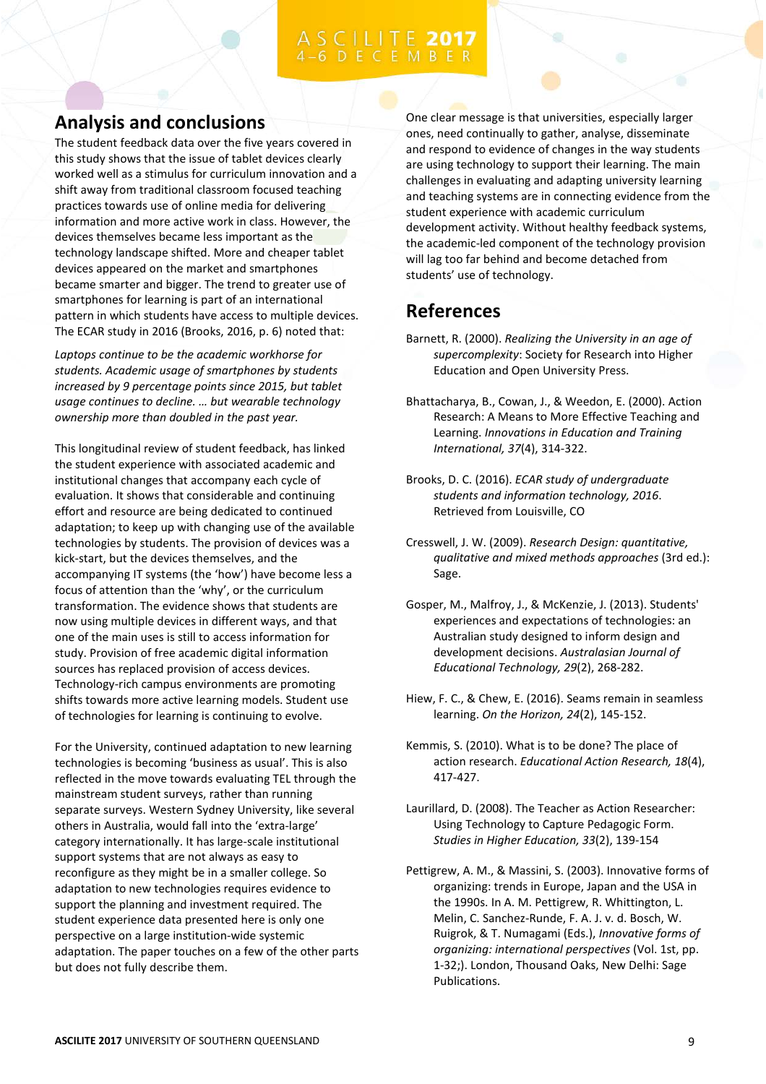# **Analysis and conclusions**

The student feedback data over the five years covered in this study shows that the issue of tablet devices clearly worked well as a stimulus for curriculum innovation and a shift away from traditional classroom focused teaching practices towards use of online media for delivering information and more active work in class. However, the devices themselves became less important as the technology landscape shifted. More and cheaper tablet devices appeared on the market and smartphones became smarter and bigger. The trend to greater use of smartphones for learning is part of an international pattern in which students have access to multiple devices. The ECAR study in 2016 (Brooks, 2016, p. 6) noted that:

*Laptops continue to be the academic workhorse for students. Academic usage of smartphones by students increased by 9 percentage points since 2015, but tablet usage continues to decline. … but wearable technology ownership more than doubled in the past year.*

This longitudinal review of student feedback, has linked the student experience with associated academic and institutional changes that accompany each cycle of evaluation. It shows that considerable and continuing effort and resource are being dedicated to continued adaptation; to keep up with changing use of the available technologies by students. The provision of devices was a kick-start, but the devices themselves, and the accompanying IT systems (the 'how') have become less a focus of attention than the 'why', or the curriculum transformation. The evidence shows that students are now using multiple devices in different ways, and that one of the main uses is still to access information for study. Provision of free academic digital information sources has replaced provision of access devices. Technology-rich campus environments are promoting shifts towards more active learning models. Student use of technologies for learning is continuing to evolve.

For the University, continued adaptation to new learning technologies is becoming 'business as usual'. This is also reflected in the move towards evaluating TEL through the mainstream student surveys, rather than running separate surveys. Western Sydney University, like several others in Australia, would fall into the 'extra-large' category internationally. It has large-scale institutional support systems that are not always as easy to reconfigure as they might be in a smaller college. So adaptation to new technologies requires evidence to support the planning and investment required. The student experience data presented here is only one perspective on a large institution-wide systemic adaptation. The paper touches on a few of the other parts but does not fully describe them.

One clear message is that universities, especially larger ones, need continually to gather, analyse, disseminate and respond to evidence of changes in the way students are using technology to support their learning. The main challenges in evaluating and adapting university learning and teaching systems are in connecting evidence from the student experience with academic curriculum development activity. Without healthy feedback systems, the academic-led component of the technology provision will lag too far behind and become detached from students' use of technology.

# **References**

- Barnett, R. (2000). *Realizing the University in an age of supercomplexity*: Society for Research into Higher Education and Open University Press.
- Bhattacharya, B., Cowan, J., & Weedon, E. (2000). Action Research: A Means to More Effective Teaching and Learning. *Innovations in Education and Training International, 37*(4), 314-322.
- Brooks, D. C. (2016). *ECAR study of undergraduate students and information technology, 2016*. Retrieved from Louisville, CO
- Cresswell, J. W. (2009). *Research Design: quantitative, qualitative and mixed methods approaches* (3rd ed.): Sage.
- Gosper, M., Malfroy, J., & McKenzie, J. (2013). Students' experiences and expectations of technologies: an Australian study designed to inform design and development decisions. *Australasian Journal of Educational Technology, 29*(2), 268-282.
- Hiew, F. C., & Chew, E. (2016). Seams remain in seamless learning. *On the Horizon, 24*(2), 145-152.
- Kemmis, S. (2010). What is to be done? The place of action research. *Educational Action Research, 18*(4), 417-427.
- Laurillard, D. (2008). The Teacher as Action Researcher: Using Technology to Capture Pedagogic Form. *Studies in Higher Education, 33*(2), 139-154
- Pettigrew, A. M., & Massini, S. (2003). Innovative forms of organizing: trends in Europe, Japan and the USA in the 1990s. In A. M. Pettigrew, R. Whittington, L. Melin, C. Sanchez-Runde, F. A. J. v. d. Bosch, W. Ruigrok, & T. Numagami (Eds.), *Innovative forms of organizing: international perspectives* (Vol. 1st, pp. 1-32;). London, Thousand Oaks, New Delhi: Sage Publications.